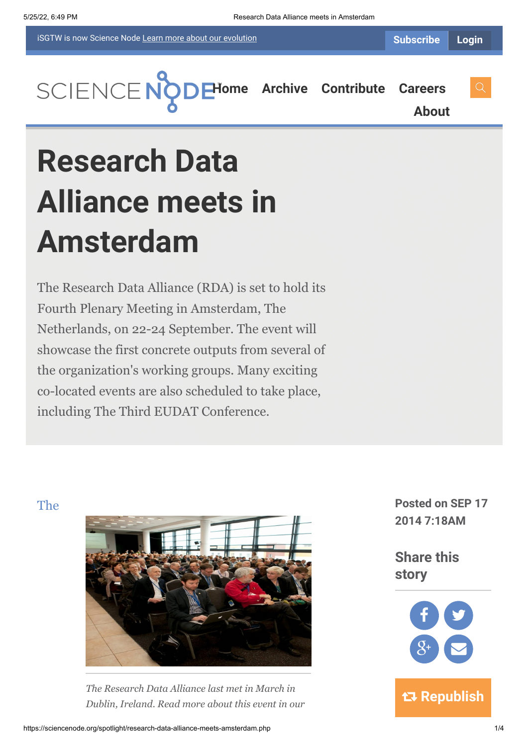iSGTW is now Science Node [Learn more about](https://sciencenode.org/about/index.php#history) our evolution

**[About](https://sciencenode.org/about/index.php)**



# **Research Data Alliance meets in Amsterdam**

The Research Data Alliance (RDA) is set to hold its Fourth Plenary Meeting in Amsterdam, The Netherlands, on 22-24 September. The event will showcase the first concrete outputs from several of the organization's working groups. Many exciting co-located events are also scheduled to take place, including The Third EUDAT Conference.



*[The Research Data Alliance l](https://rd-alliance.org/)ast met in March in Dublin, Ireland. Read more about this event in our*

**The Posted on SEP 17 2014 7:18AM**

> **Share this story**

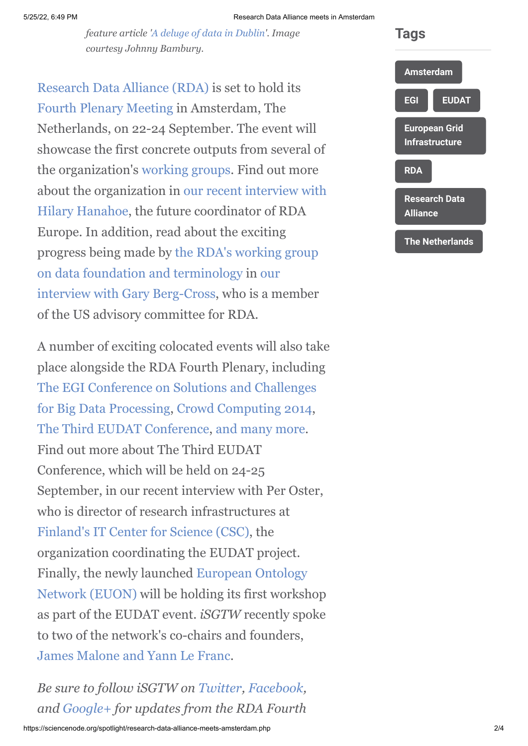*feature article ['A deluge of data in Dublin](http://www.isgtw.org/feature/deluge-data-dublin)'. Image courtesy Johnny Bambury.*

[Research Data Alliance \(RDA\)](https://rd-alliance.org/) is set to hold its [Fourth Plenary Meeting](https://rd-alliance.org/rda-fourth-plenary-meeting.html) in Amsterdam, The Netherlands, on 22-24 September. The event will showcase the first concrete outputs from several of the organization's [working groups](https://rd-alliance.org/groups/working-groups). Find out more [about the organization in our recent interview with](http://www.isgtw.org/feature/flood-data-set-amsterdam) Hilary Hanahoe, the future coordinator of RDA Europe. In addition, read about the exciting [progress being made by the RDA's working group](https://www.rd-alliance.org/group/data-foundation-and-terminology-wg.html) on data foundation and terminology in our [interview with Gary Berg-Cross, who is a m](http://www.isgtw.org/feature/laying-foundations-better-sharing-research-data)ember of the US advisory committee for RDA.

A number of exciting colocated events will also take place alongside the RDA Fourth Plenary, including [The EGI Conference on Solutions and Challenges](https://indico.egi.eu/indico/conferenceDisplay.py?confId=2160) for Big Data Processing, [Crowd Computing 2014](http://crowdcomputing.eu/crowd-computing-2014), [The Third EUDAT Conference,](http://www.eudat.eu/3rd-eudat-conference) [and many more.](http://3rd%20eudat%20conference/) Find out more about The Third EUDAT Conference, which will be held on 24-25 September, in our recent interview with Per Oster, who is director of research infrastructures at [Finland's IT Center for Science \(CSC\)](http://www.csc.fi/english), the organization coordinating the EUDAT project. [Finally, the newly launched European Ontology](http://www.eudat.eu/euon) Network (EUON) will be holding its first workshop as part of the EUDAT event. *iSGTW* recently spoke to two of the network's co-chairs and founders, [James Malone and Yann Le Franc](http://www.isgtw.org/feature/shaping-future-data-sharing-euon).

*Be sure to follow iSGTW on [Twitter,](https://twitter.com/search?q=isgtw&src=typd) [Facebook,](https://www.facebook.com/pages/International-Science-Grid-This-Week/141926395796) and [Google+](https://plus.google.com/100076081909774278210/posts) for updates from the RDA Fourth*

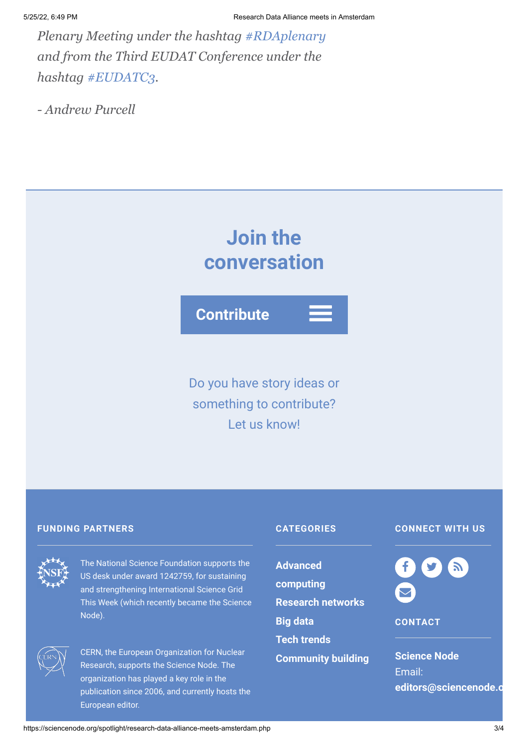*Plenary Meeting under the hashtag [#RDAplenary](https://twitter.com/search?q=%23RDAPlenary&src=hash) and from the Third EUDAT Conference under the hashtag [#EUDATC3](https://twitter.com/search?f=realtime&q=%23EUDATC3&src=typd).*

*- Andrew Purcell*

# **Join the conversation**

**Contribute**

Do you have story ideas or something to contribute? Let us know!

### **FUNDING PARTNERS CATEGORIES**



The National Science Foundation supports the US desk under award 1242759, for sustaining and strengthening International Science Grid This Week (which recently became the Science Node).



CERN, the European Organization for Nuclear Research, supports the Science Node. The organization has played a key role in the publication since 2006, and currently hosts the European editor.

**Advanced [computing](https://sciencenode.org/archive/?year=2015&category=Advanced%20computing) [Research networks](https://sciencenode.org/archive/?year=2015&category=Advanced%20computing&category=Research%20networks) [Big data](https://sciencenode.org/archive/?year=2015&category=Advanced%20computing&category=Research%20networks&category=Big%20data) [Tech trends](https://sciencenode.org/archive/?year=2015&category=Advanced%20computing&category=Research%20networks&category=Big%20data&category=Tech%20trends) [Community building](https://sciencenode.org/archive/?year=2015&category=Advanced%20computing&category=Research%20networks&category=Big%20data&category=Tech%20trends&category=Community%20building)**

## **CONNECT WITH US**



**CONTACT**

**Science Node** Email: **[editors@sciencenode.o](mailto:edit%6F%72s@s%63%69encenode.%6F%72%67)**